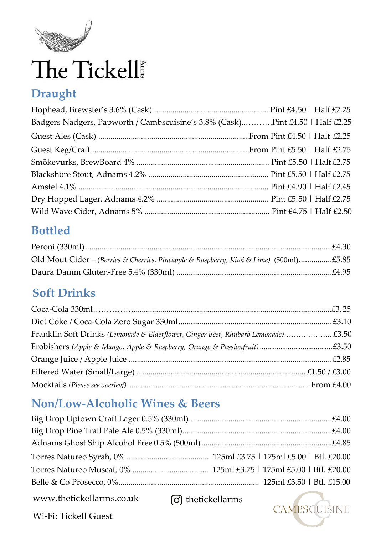

# The Tickell

## **Draught**

| Badgers Nadgers, Papworth / Cambscuisine's 3.8% (Cask)Pint £4.50   Half £2.25 |  |
|-------------------------------------------------------------------------------|--|
|                                                                               |  |
|                                                                               |  |
|                                                                               |  |
|                                                                               |  |
|                                                                               |  |
|                                                                               |  |
|                                                                               |  |

### **Bottled**

| Old Mout Cider - (Berries & Cherries, Pineapple & Raspberry, Kiwi & Lime) (500ml)£5.85 |  |
|----------------------------------------------------------------------------------------|--|
|                                                                                        |  |

# **Soft Drinks**

| Franklin Soft Drinks (Lemonade & Elderflower, Ginger Beer, Rhubarb Lemonade) £3.50 |  |
|------------------------------------------------------------------------------------|--|
|                                                                                    |  |
|                                                                                    |  |
|                                                                                    |  |
|                                                                                    |  |

## **Non/Low-Alcoholic Wines & Beers**

[www.thetickellarms.co.uk](http://www.thetickellarms.co.uk/)

thetickellarms



Wi-Fi: Tickell Guest